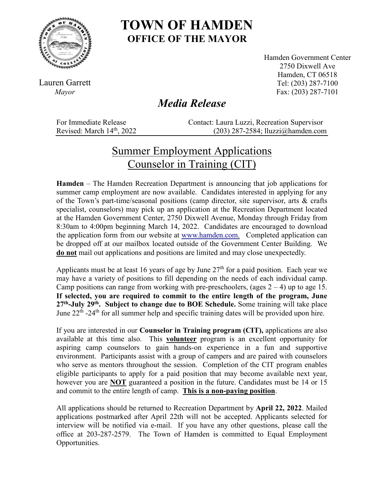

## **TOWN OF HAMDEN OFFICE OF THE MAYOR**

Lauren Garrett *Mayor*

Hamden Government Center 2750 Dixwell Ave Hamden, CT 06518 Tel: (203) 287-7100 Fax: (203) 287-7101

## *Media Release*

For Immediate Release Contact: Laura Luzzi, Recreation Supervisor<br>Revised: March 14<sup>th</sup>, 2022 (203) 287-2584; Iluzzi@hamden.com  $(203)$  287-2584; lluzzi $@$ hamden.com

## Summer Employment Applications Counselor in Training (CIT)

**Hamden** – The Hamden Recreation Department is announcing that job applications for summer camp employment are now available. Candidates interested in applying for any of the Town's part-time/seasonal positions (camp director, site supervisor, arts & crafts specialist, counselors) may pick up an application at the Recreation Department located at the Hamden Government Center, 2750 Dixwell Avenue, Monday through Friday from 8:30am to 4:00pm beginning March 14, 2022. Candidates are encouraged to download the application form from our website at [www.hamden.com.](http://www.hamden.com/) Completed application can be dropped off at our mailbox located outside of the Government Center Building. We **do not** mail out applications and positions are limited and may close unexpectedly.

Applicants must be at least 16 years of age by June  $27<sup>th</sup>$  for a paid position. Each year we may have a variety of positions to fill depending on the needs of each individual camp. Camp positions can range from working with pre-preschoolers, (ages  $2 - 4$ ) up to age 15. **If selected, you are required to commit to the entire length of the program, June 27th-July 29th. Subject to change due to BOE Schedule.** Some training will take place June  $22^{th}$  -24<sup>th</sup> for all summer help and specific training dates will be provided upon hire.

If you are interested in our **Counselor in Training program (CIT),** applications are also available at this time also. This **volunteer** program is an excellent opportunity for aspiring camp counselors to gain hands-on experience in a fun and supportive environment. Participants assist with a group of campers and are paired with counselors who serve as mentors throughout the session. Completion of the CIT program enables eligible participants to apply for a paid position that may become available next year, however you are **NOT** guaranteed a position in the future. Candidates must be 14 or 15 and commit to the entire length of camp. **This is a non-paying position**.

All applications should be returned to Recreation Department by **April 22, 2022**. Mailed applications postmarked after April 22th will not be accepted. Applicants selected for interview will be notified via e-mail. If you have any other questions, please call the office at 203-287-2579. The Town of Hamden is committed to Equal Employment Opportunities.